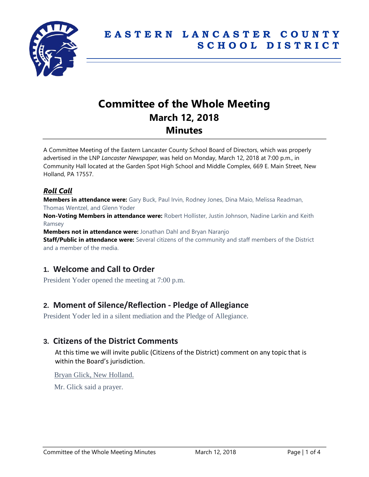

# **Committee of the Whole Meeting March 12, 2018 Minutes**

A Committee Meeting of the Eastern Lancaster County School Board of Directors, which was properly advertised in the LNP *Lancaster Newspaper*, was held on Monday, March 12, 2018 at 7:00 p.m., in Community Hall located at the Garden Spot High School and Middle Complex, 669 E. Main Street, New Holland, PA 17557.

### *Roll Call*

**Members in attendance were:** Gary Buck, Paul Irvin, Rodney Jones, Dina Maio, Melissa Readman, Thomas Wentzel, and Glenn Yoder

**Non-Voting Members in attendance were:** Robert Hollister, Justin Johnson, Nadine Larkin and Keith Ramsey

**Members not in attendance were:** Jonathan Dahl and Bryan Naranjo

**Staff/Public in attendance were:** Several citizens of the community and staff members of the District and a member of the media.

# **1. Welcome and Call to Order**

President Yoder opened the meeting at 7:00 p.m.

# **2. Moment of Silence/Reflection - Pledge of Allegiance**

President Yoder led in a silent mediation and the Pledge of Allegiance.

## **3. Citizens of the District Comments**

At this time we will invite public (Citizens of the District) comment on any topic that is within the Board's jurisdiction.

Bryan Glick, New Holland.

Mr. Glick said a prayer.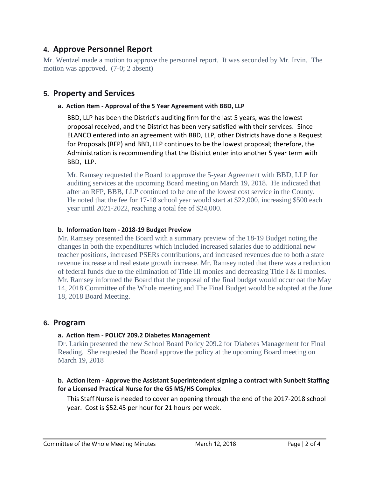# **4. Approve Personnel Report**

Mr. Wentzel made a motion to approve the personnel report. It was seconded by Mr. Irvin. The motion was approved. (7-0; 2 absent)

# **5. Property and Services**

#### **a. Action Item - Approval of the 5 Year Agreement with BBD, LLP**

BBD, LLP has been the District's auditing firm for the last 5 years, was the lowest proposal received, and the District has been very satisfied with their services. Since ELANCO entered into an agreement with BBD, LLP, other Districts have done a Request for Proposals (RFP) and BBD, LLP continues to be the lowest proposal; therefore, the Administration is recommending that the District enter into another 5 year term with BBD, LLP.

Mr. Ramsey requested the Board to approve the 5-year Agreement with BBD, LLP for auditing services at the upcoming Board meeting on March 19, 2018. He indicated that after an RFP, BBB, LLP continued to be one of the lowest cost service in the County. He noted that the fee for 17-18 school year would start at \$22,000, increasing \$500 each year until 2021-2022, reaching a total fee of \$24,000.

#### **b. Information Item - 2018-19 Budget Preview**

Mr. Ramsey presented the Board with a summary preview of the 18-19 Budget noting the changes in both the expenditures which included increased salaries due to additional new teacher positions, increased PSERs contributions, and increased revenues due to both a state revenue increase and real estate growth increase. Mr. Ramsey noted that there was a reduction of federal funds due to the elimination of Title III monies and decreasing Title I & II monies. Mr. Ramsey informed the Board that the proposal of the final budget would occur oat the May 14, 2018 Committee of the Whole meeting and The Final Budget would be adopted at the June 18, 2018 Board Meeting.

### **6. Program**

#### **a. Action Item - POLICY 209.2 Diabetes Management**

Dr. Larkin presented the new School Board Policy 209.2 for Diabetes Management for Final Reading. She requested the Board approve the policy at the upcoming Board meeting on March 19, 2018

#### **b. Action Item - Approve the Assistant Superintendent signing a contract with Sunbelt Staffing for a Licensed Practical Nurse for the GS MS/HS Complex**

This Staff Nurse is needed to cover an opening through the end of the 2017-2018 school year. Cost is \$52.45 per hour for 21 hours per week.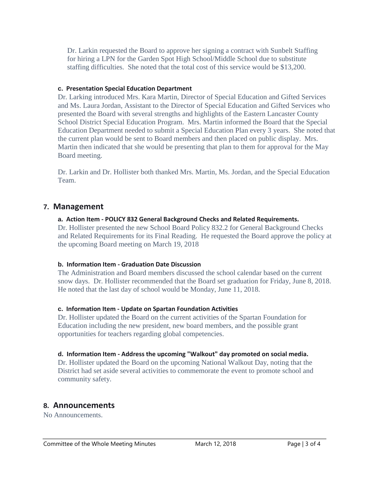Dr. Larkin requested the Board to approve her signing a contract with Sunbelt Staffing for hiring a LPN for the Garden Spot High School/Middle School due to substitute staffing difficulties. She noted that the total cost of this service would be \$13,200.

#### **c. Presentation Special Education Department**

Dr. Larking introduced Mrs. Kara Martin, Director of Special Education and Gifted Services and Ms. Laura Jordan, Assistant to the Director of Special Education and Gifted Services who presented the Board with several strengths and highlights of the Eastern Lancaster County School District Special Education Program. Mrs. Martin informed the Board that the Special Education Department needed to submit a Special Education Plan every 3 years. She noted that the current plan would be sent to Board members and then placed on public display. Mrs. Martin then indicated that she would be presenting that plan to them for approval for the May Board meeting.

Dr. Larkin and Dr. Hollister both thanked Mrs. Martin, Ms. Jordan, and the Special Education Team.

### **7. Management**

#### **a. Action Item - POLICY 832 General Background Checks and Related Requirements.**

Dr. Hollister presented the new School Board Policy 832.2 for General Background Checks and Related Requirements for its Final Reading. He requested the Board approve the policy at the upcoming Board meeting on March 19, 2018

#### **b. Information Item - Graduation Date Discussion**

The Administration and Board members discussed the school calendar based on the current snow days. Dr. Hollister recommended that the Board set graduation for Friday, June 8, 2018. He noted that the last day of school would be Monday, June 11, 2018.

#### **c. Information Item - Update on Spartan Foundation Activities**

Dr. Hollister updated the Board on the current activities of the Spartan Foundation for Education including the new president, new board members, and the possible grant opportunities for teachers regarding global competencies.

#### **d. Information Item - Address the upcoming "Walkout" day promoted on social media.**

Dr. Hollister updated the Board on the upcoming National Walkout Day, noting that the District had set aside several activities to commemorate the event to promote school and community safety.

## **8. Announcements**

No Announcements.